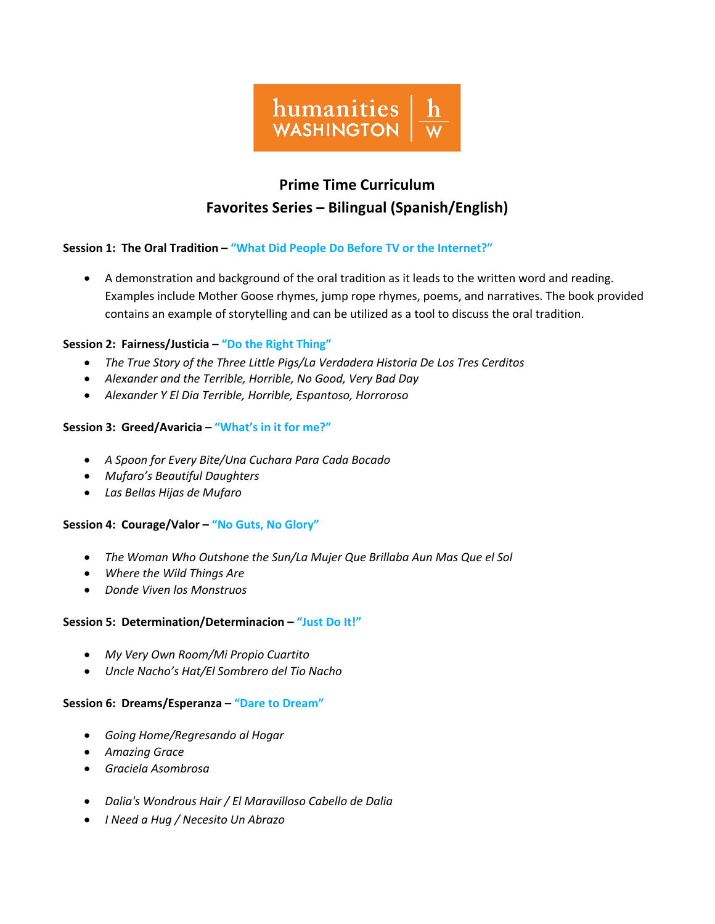

# **Prime Time Curriculum Favorites Series – Bilingual (Spanish/English)**

#### **Session 1: The Oral Tradition – "What Did People Do Before TV or the Internet?"**

• A demonstration and background of the oral tradition as it leads to the written word and reading. Examples include Mother Goose rhymes, jump rope rhymes, poems, and narratives. The book provided contains an example of storytelling and can be utilized as a tool to discuss the oral tradition.

#### **Session 2: Fairness/Justicia – "Do the Right Thing"**

- *The True Story of the Three Little Pigs/La Verdadera Historia De Los Tres Cerditos*
- *Alexander and the Terrible, Horrible, No Good, Very Bad Day*
- *Alexander Y El Dia Terrible, Horrible, Espantoso, Horroroso*

#### **Session 3: Greed/Avaricia – "What's in it for me?"**

- *A Spoon for Every Bite/Una Cuchara Para Cada Bocado*
- *Mufaro's Beautiful Daughters*
- *Las Bellas Hijas de Mufaro*

#### **Session 4: Courage/Valor – "No Guts, No Glory"**

- *The Woman Who Outshone the Sun/La Mujer Que Brillaba Aun Mas Que el Sol*
- *Where the Wild Things Are*
- *Donde Viven los Monstruos*

#### **Session 5: Determination/Determinacion – "Just Do It!"**

- *My Very Own Room/Mi Propio Cuartito*
- *Uncle Nacho's Hat/El Sombrero del Tio Nacho*

#### **Session 6: Dreams/Esperanza – "Dare to Dream"**

- *Going Home/Regresando al Hogar*
- *Amazing Grace*
- *Graciela Asombrosa*
- *Dalia's Wondrous Hair / El Maravilloso Cabello de Dalia*
- *I Need a Hug / Necesito Un Abrazo*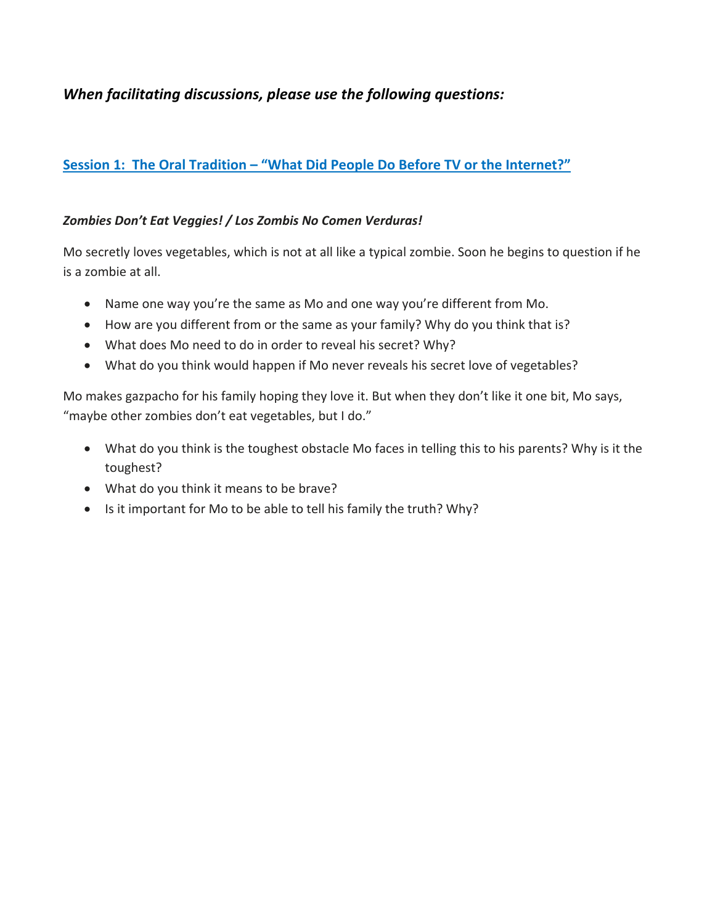## *When facilitating discussions, please use the following questions:*

## **Session 1: The Oral Tradition – "What Did People Do Before TV or the Internet?"**

### *Zombies Don't Eat Veggies! / Los Zombis No Comen Verduras!*

Mo secretly loves vegetables, which is not at all like a typical zombie. Soon he begins to question if he is a zombie at all.

- Name one way you're the same as Mo and one way you're different from Mo.
- How are you different from or the same as your family? Why do you think that is?
- What does Mo need to do in order to reveal his secret? Why?
- What do you think would happen if Mo never reveals his secret love of vegetables?

Mo makes gazpacho for his family hoping they love it. But when they don't like it one bit, Mo says, "maybe other zombies don't eat vegetables, but I do."

- What do you think is the toughest obstacle Mo faces in telling this to his parents? Why is it the toughest?
- What do you think it means to be brave?
- Is it important for Mo to be able to tell his family the truth? Why?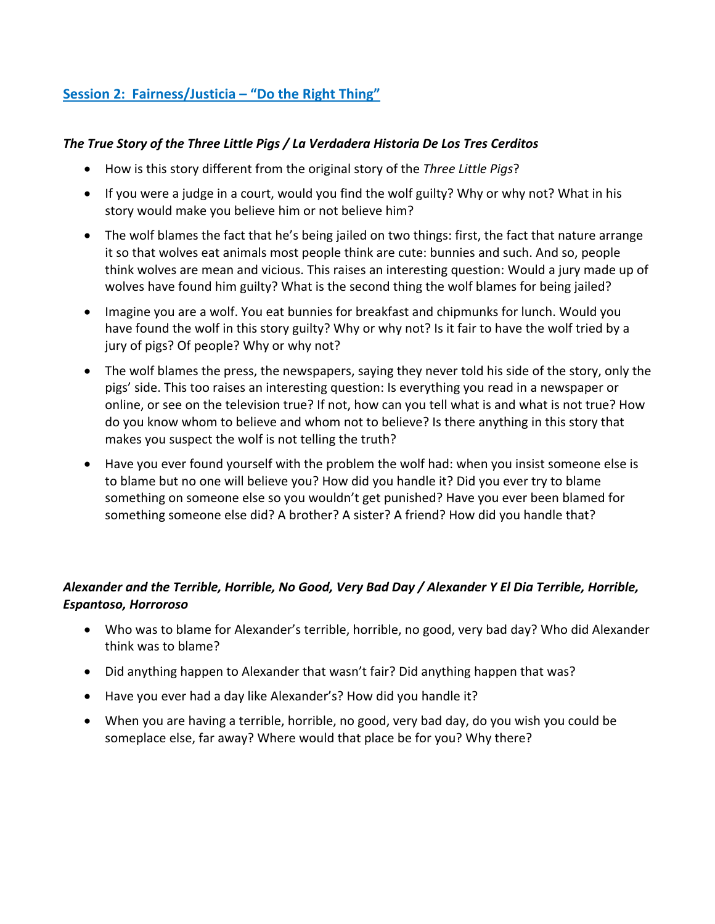## **Session 2: Fairness/Justicia – "Do the Right Thing"**

### *The True Story of the Three Little Pigs / La Verdadera Historia De Los Tres Cerditos*

- How is this story different from the original story of the *Three Little Pigs*?
- If you were a judge in a court, would you find the wolf guilty? Why or why not? What in his story would make you believe him or not believe him?
- The wolf blames the fact that he's being jailed on two things: first, the fact that nature arrange it so that wolves eat animals most people think are cute: bunnies and such. And so, people think wolves are mean and vicious. This raises an interesting question: Would a jury made up of wolves have found him guilty? What is the second thing the wolf blames for being jailed?
- Imagine you are a wolf. You eat bunnies for breakfast and chipmunks for lunch. Would you have found the wolf in this story guilty? Why or why not? Is it fair to have the wolf tried by a jury of pigs? Of people? Why or why not?
- The wolf blames the press, the newspapers, saying they never told his side of the story, only the pigs' side. This too raises an interesting question: Is everything you read in a newspaper or online, or see on the television true? If not, how can you tell what is and what is not true? How do you know whom to believe and whom not to believe? Is there anything in this story that makes you suspect the wolf is not telling the truth?
- Have you ever found yourself with the problem the wolf had: when you insist someone else is to blame but no one will believe you? How did you handle it? Did you ever try to blame something on someone else so you wouldn't get punished? Have you ever been blamed for something someone else did? A brother? A sister? A friend? How did you handle that?

## *Alexander and the Terrible, Horrible, No Good, Very Bad Day / Alexander Y El Dia Terrible, Horrible, Espantoso, Horroroso*

- Who was to blame for Alexander's terrible, horrible, no good, very bad day? Who did Alexander think was to blame?
- Did anything happen to Alexander that wasn't fair? Did anything happen that was?
- Have you ever had a day like Alexander's? How did you handle it?
- When you are having a terrible, horrible, no good, very bad day, do you wish you could be someplace else, far away? Where would that place be for you? Why there?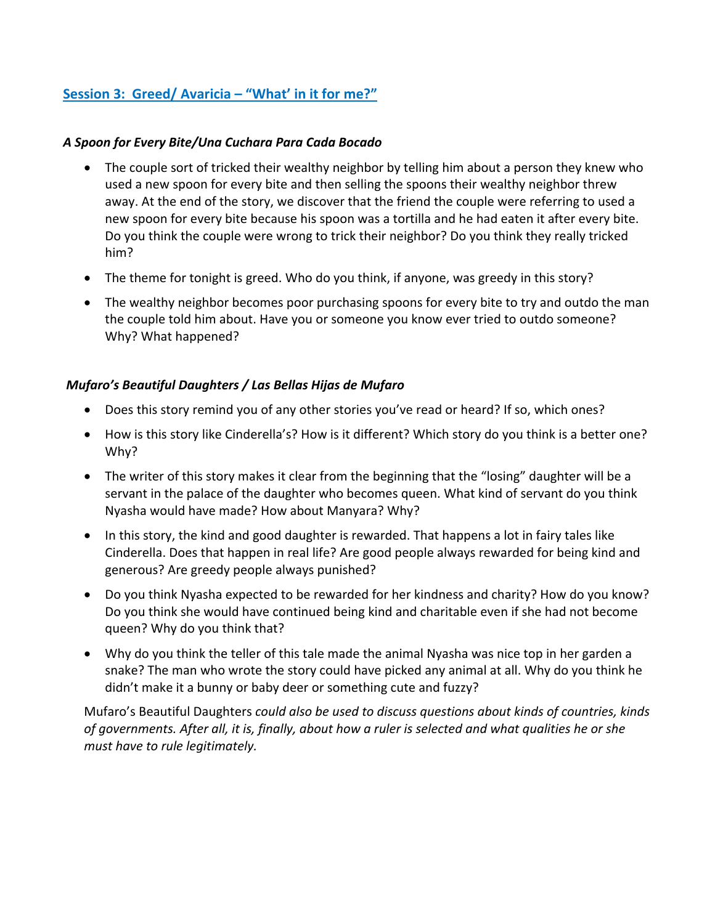## **Session 3: Greed/ Avaricia – "What' in it for me?"**

### *A Spoon for Every Bite/Una Cuchara Para Cada Bocado*

- The couple sort of tricked their wealthy neighbor by telling him about a person they knew who used a new spoon for every bite and then selling the spoons their wealthy neighbor threw away. At the end of the story, we discover that the friend the couple were referring to used a new spoon for every bite because his spoon was a tortilla and he had eaten it after every bite. Do you think the couple were wrong to trick their neighbor? Do you think they really tricked him?
- The theme for tonight is greed. Who do you think, if anyone, was greedy in this story?
- The wealthy neighbor becomes poor purchasing spoons for every bite to try and outdo the man the couple told him about. Have you or someone you know ever tried to outdo someone? Why? What happened?

### *Mufaro's Beautiful Daughters / Las Bellas Hijas de Mufaro*

- Does this story remind you of any other stories you've read or heard? If so, which ones?
- How is this story like Cinderella's? How is it different? Which story do you think is a better one? Why?
- The writer of this story makes it clear from the beginning that the "losing" daughter will be a servant in the palace of the daughter who becomes queen. What kind of servant do you think Nyasha would have made? How about Manyara? Why?
- In this story, the kind and good daughter is rewarded. That happens a lot in fairy tales like Cinderella. Does that happen in real life? Are good people always rewarded for being kind and generous? Are greedy people always punished?
- Do you think Nyasha expected to be rewarded for her kindness and charity? How do you know? Do you think she would have continued being kind and charitable even if she had not become queen? Why do you think that?
- Why do you think the teller of this tale made the animal Nyasha was nice top in her garden a snake? The man who wrote the story could have picked any animal at all. Why do you think he didn't make it a bunny or baby deer or something cute and fuzzy?

Mufaro's Beautiful Daughters *could also be used to discuss questions about kinds of countries, kinds of governments. After all, it is, finally, about how a ruler is selected and what qualities he or she must have to rule legitimately.*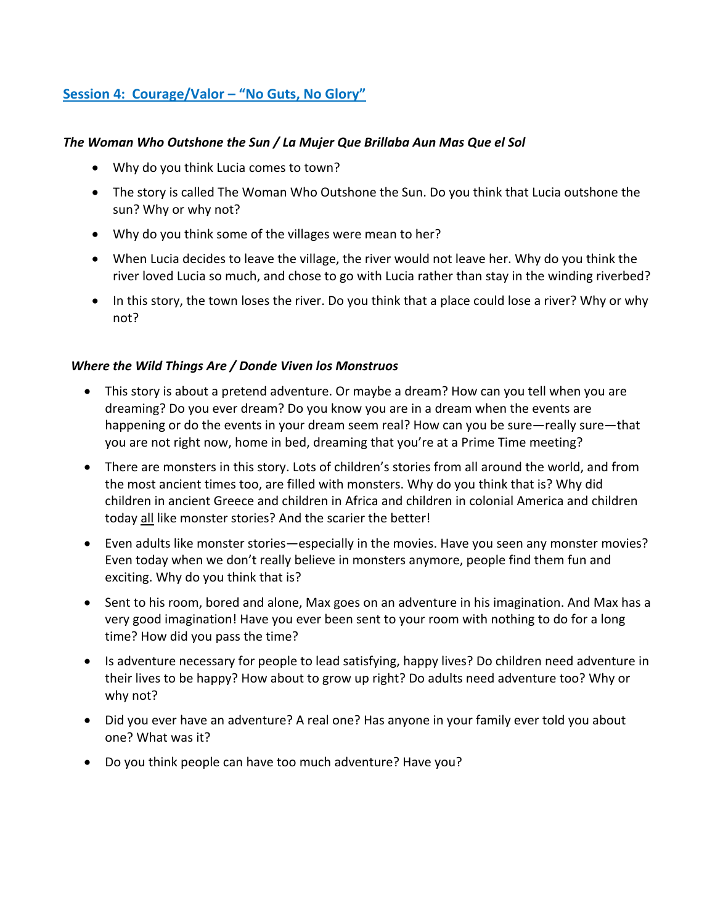## **Session 4: Courage/Valor – "No Guts, No Glory"**

#### *The Woman Who Outshone the Sun / La Mujer Que Brillaba Aun Mas Que el Sol*

- Why do you think Lucia comes to town?
- The story is called The Woman Who Outshone the Sun. Do you think that Lucia outshone the sun? Why or why not?
- Why do you think some of the villages were mean to her?
- When Lucia decides to leave the village, the river would not leave her. Why do you think the river loved Lucia so much, and chose to go with Lucia rather than stay in the winding riverbed?
- In this story, the town loses the river. Do you think that a place could lose a river? Why or why not?

### *Where the Wild Things Are / Donde Viven los Monstruos*

- This story is about a pretend adventure. Or maybe a dream? How can you tell when you are dreaming? Do you ever dream? Do you know you are in a dream when the events are happening or do the events in your dream seem real? How can you be sure—really sure—that you are not right now, home in bed, dreaming that you're at a Prime Time meeting?
- There are monsters in this story. Lots of children's stories from all around the world, and from the most ancient times too, are filled with monsters. Why do you think that is? Why did children in ancient Greece and children in Africa and children in colonial America and children today all like monster stories? And the scarier the better!
- Even adults like monster stories—especially in the movies. Have you seen any monster movies? Even today when we don't really believe in monsters anymore, people find them fun and exciting. Why do you think that is?
- Sent to his room, bored and alone, Max goes on an adventure in his imagination. And Max has a very good imagination! Have you ever been sent to your room with nothing to do for a long time? How did you pass the time?
- Is adventure necessary for people to lead satisfying, happy lives? Do children need adventure in their lives to be happy? How about to grow up right? Do adults need adventure too? Why or why not?
- Did you ever have an adventure? A real one? Has anyone in your family ever told you about one? What was it?
- Do you think people can have too much adventure? Have you?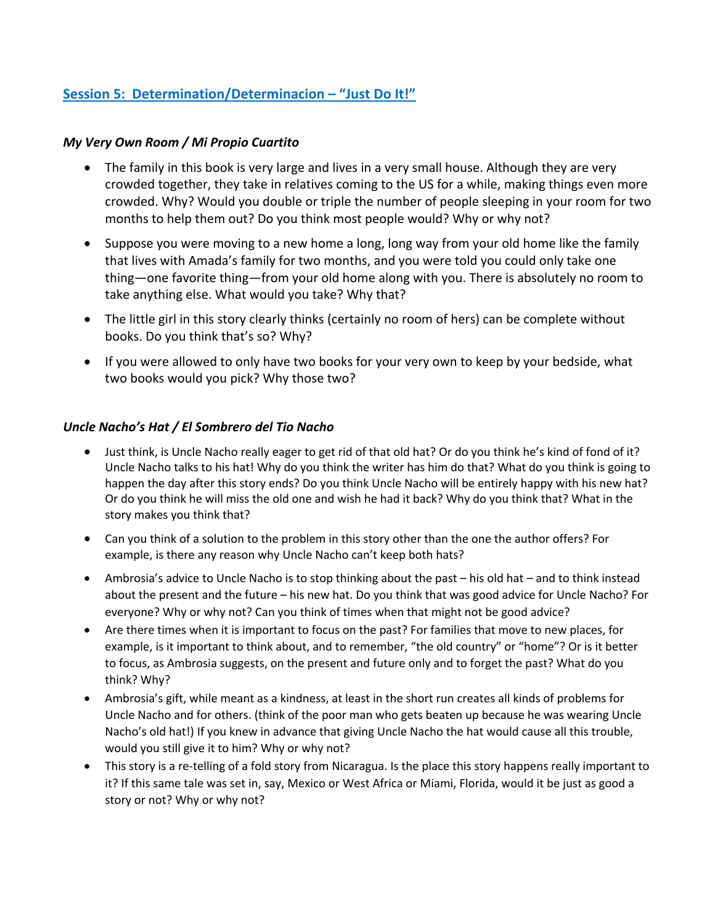## **Session 5: Determination/Determinacion – "Just Do It!"**

#### *My Very Own Room / Mi Propio Cuartito*

- The family in this book is very large and lives in a very small house. Although they are very crowded together, they take in relatives coming to the US for a while, making things even more crowded. Why? Would you double or triple the number of people sleeping in your room for two months to help them out? Do you think most people would? Why or why not?
- Suppose you were moving to a new home a long, long way from your old home like the family that lives with Amada's family for two months, and you were told you could only take one thing—one favorite thing—from your old home along with you. There is absolutely no room to take anything else. What would you take? Why that?
- The little girl in this story clearly thinks (certainly no room of hers) can be complete without books. Do you think that's so? Why?
- If you were allowed to only have two books for your very own to keep by your bedside, what two books would you pick? Why those two?

### *Uncle Nacho's Hat / El Sombrero del Tio Nacho*

- Just think, is Uncle Nacho really eager to get rid of that old hat? Or do you think he's kind of fond of it? Uncle Nacho talks to his hat! Why do you think the writer has him do that? What do you think is going to happen the day after this story ends? Do you think Uncle Nacho will be entirely happy with his new hat? Or do you think he will miss the old one and wish he had it back? Why do you think that? What in the story makes you think that?
- Can you think of a solution to the problem in this story other than the one the author offers? For example, is there any reason why Uncle Nacho can't keep both hats?
- Ambrosia's advice to Uncle Nacho is to stop thinking about the past his old hat and to think instead about the present and the future – his new hat. Do you think that was good advice for Uncle Nacho? For everyone? Why or why not? Can you think of times when that might not be good advice?
- Are there times when it is important to focus on the past? For families that move to new places, for example, is it important to think about, and to remember, "the old country" or "home"? Or is it better to focus, as Ambrosia suggests, on the present and future only and to forget the past? What do you think? Why?
- Ambrosia's gift, while meant as a kindness, at least in the short run creates all kinds of problems for Uncle Nacho and for others. (think of the poor man who gets beaten up because he was wearing Uncle Nacho's old hat!) If you knew in advance that giving Uncle Nacho the hat would cause all this trouble, would you still give it to him? Why or why not?
- This story is a re-telling of a fold story from Nicaragua. Is the place this story happens really important to it? If this same tale was set in, say, Mexico or West Africa or Miami, Florida, would it be just as good a story or not? Why or why not?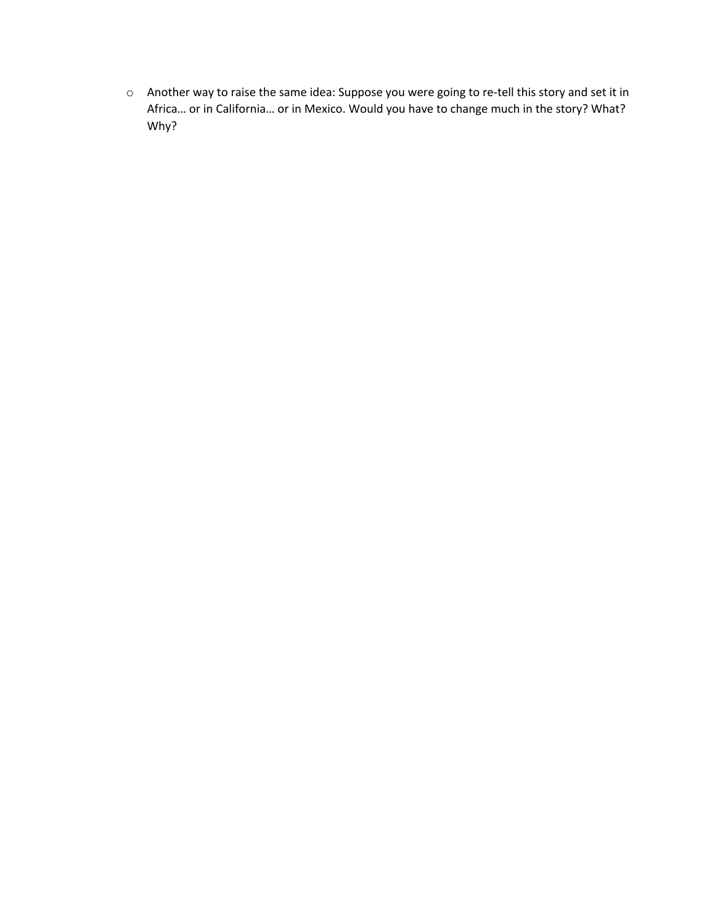o Another way to raise the same idea: Suppose you were going to re-tell this story and set it in Africa… or in California… or in Mexico. Would you have to change much in the story? What? Why?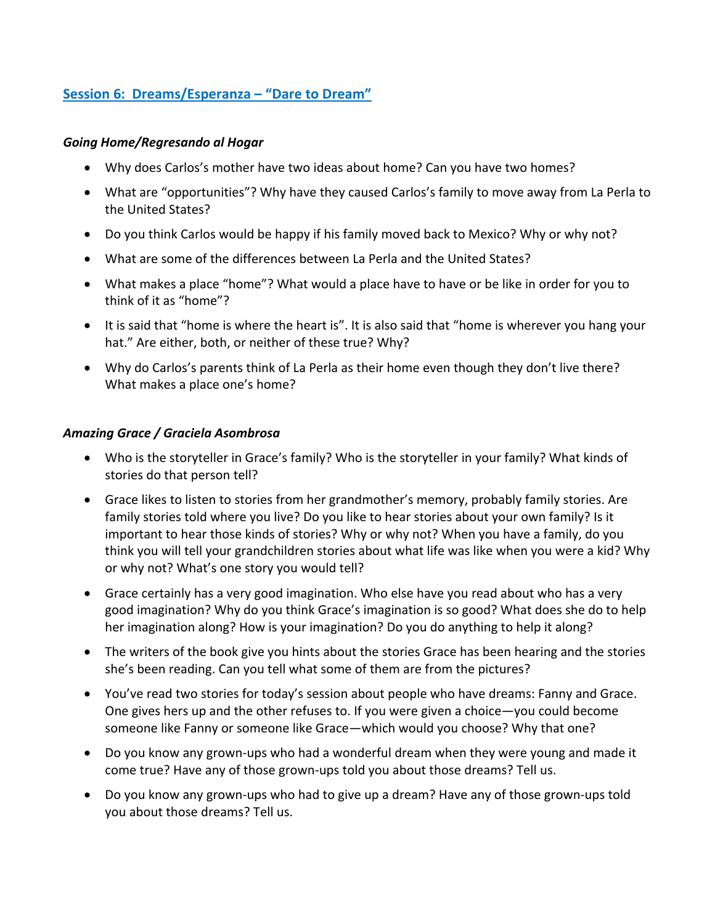## **Session 6: Dreams/Esperanza – "Dare to Dream"**

#### *Going Home/Regresando al Hogar*

- Why does Carlos's mother have two ideas about home? Can you have two homes?
- What are "opportunities"? Why have they caused Carlos's family to move away from La Perla to the United States?
- Do you think Carlos would be happy if his family moved back to Mexico? Why or why not?
- What are some of the differences between La Perla and the United States?
- What makes a place "home"? What would a place have to have or be like in order for you to think of it as "home"?
- It is said that "home is where the heart is". It is also said that "home is wherever you hang your hat." Are either, both, or neither of these true? Why?
- Why do Carlos's parents think of La Perla as their home even though they don't live there? What makes a place one's home?

### *Amazing Grace / Graciela Asombrosa*

- Who is the storyteller in Grace's family? Who is the storyteller in your family? What kinds of stories do that person tell?
- Grace likes to listen to stories from her grandmother's memory, probably family stories. Are family stories told where you live? Do you like to hear stories about your own family? Is it important to hear those kinds of stories? Why or why not? When you have a family, do you think you will tell your grandchildren stories about what life was like when you were a kid? Why or why not? What's one story you would tell?
- Grace certainly has a very good imagination. Who else have you read about who has a very good imagination? Why do you think Grace's imagination is so good? What does she do to help her imagination along? How is your imagination? Do you do anything to help it along?
- The writers of the book give you hints about the stories Grace has been hearing and the stories she's been reading. Can you tell what some of them are from the pictures?
- You've read two stories for today's session about people who have dreams: Fanny and Grace. One gives hers up and the other refuses to. If you were given a choice—you could become someone like Fanny or someone like Grace—which would you choose? Why that one?
- Do you know any grown-ups who had a wonderful dream when they were young and made it come true? Have any of those grown-ups told you about those dreams? Tell us.
- Do you know any grown-ups who had to give up a dream? Have any of those grown-ups told you about those dreams? Tell us.